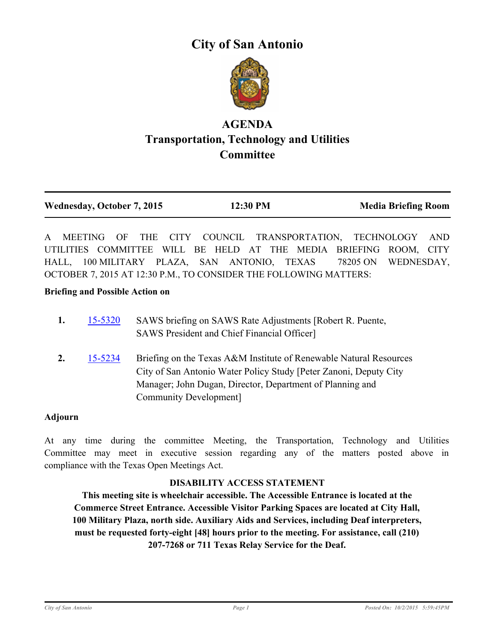# **City of San Antonio**



## **Transportation, Technology and Utilities Committee AGENDA**

| Wednesday, October 7, 2015 | 12:30 PM | <b>Media Briefing Room</b> |
|----------------------------|----------|----------------------------|
|                            |          |                            |

A MEETING OF THE CITY COUNCIL TRANSPORTATION, TECHNOLOGY AND UTILITIES COMMITTEE WILL BE HELD AT THE MEDIA BRIEFING ROOM, CITY HALL, 100 MILITARY PLAZA, SAN ANTONIO, TEXAS 78205 ON WEDNESDAY, OCTOBER 7, 2015 AT 12:30 P.M., TO CONSIDER THE FOLLOWING MATTERS:

#### **Briefing and Possible Action on**

- SAWS briefing on SAWS Rate Adjustments [Robert R. Puente, SAWS President and Chief Financial Officer] **1.** [15-5320](http://sanantonio.legistar.com/gateway.aspx?m=l&id=/matter.aspx?key=9807)
- Briefing on the Texas A&M Institute of Renewable Natural Resources City of San Antonio Water Policy Study [Peter Zanoni, Deputy City Manager; John Dugan, Director, Department of Planning and Community Development] **2.** [15-5234](http://sanantonio.legistar.com/gateway.aspx?m=l&id=/matter.aspx?key=9742)

#### **Adjourn**

At any time during the committee Meeting, the Transportation, Technology and Utilities Committee may meet in executive session regarding any of the matters posted above in compliance with the Texas Open Meetings Act.

### **DISABILITY ACCESS STATEMENT**

**This meeting site is wheelchair accessible. The Accessible Entrance is located at the Commerce Street Entrance. Accessible Visitor Parking Spaces are located at City Hall, 100 Military Plaza, north side. Auxiliary Aids and Services, including Deaf interpreters, must be requested forty-eight [48] hours prior to the meeting. For assistance, call (210) 207-7268 or 711 Texas Relay Service for the Deaf.**